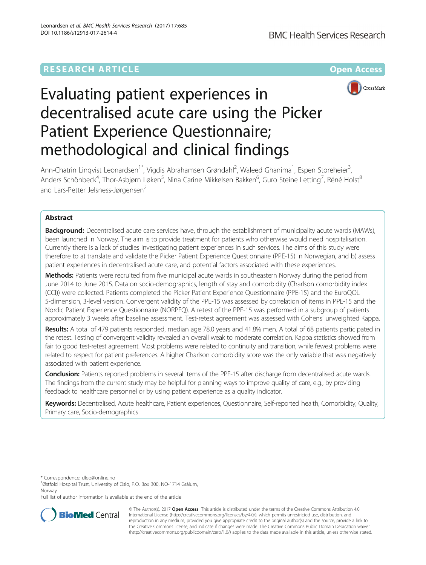## **RESEARCH ARTICLE Example 2014 12:30 The Community Community Community Community Community Community Community**



# Evaluating patient experiences in decentralised acute care using the Picker Patient Experience Questionnaire; methodological and clinical findings

Ann-Chatrin Linqvist Leonardsen<sup>1\*</sup>, Vigdis Abrahamsen Grøndahl<sup>2</sup>, Waleed Ghanima<sup>1</sup>, Espen Storeheier<sup>3</sup> , Anders Schönbeck<sup>4</sup>, Thor-Asbjørn Løken<sup>5</sup>, Nina Carine Mikkelsen Bakken<sup>6</sup>, Guro Steine Letting<sup>7</sup>, Réné Holst<sup>8</sup> and Lars-Petter Jelsness-Jørgensen<sup>2</sup>

## Abstract

Background: Decentralised acute care services have, through the establishment of municipality acute wards (MAWs), been launched in Norway. The aim is to provide treatment for patients who otherwise would need hospitalisation. Currently there is a lack of studies investigating patient experiences in such services. The aims of this study were therefore to a) translate and validate the Picker Patient Experience Questionnaire (PPE-15) in Norwegian, and b) assess patient experiences in decentralised acute care, and potential factors associated with these experiences.

Methods: Patients were recruited from five municipal acute wards in southeastern Norway during the period from June 2014 to June 2015. Data on socio-demographics, length of stay and comorbidity (Charlson comorbidity index (CCI)) were collected. Patients completed the Picker Patient Experience Questionnaire (PPE-15) and the EuroQOL 5-dimension, 3-level version. Convergent validity of the PPE-15 was assessed by correlation of items in PPE-15 and the Nordic Patient Experience Questionnaire (NORPEQ). A retest of the PPE-15 was performed in a subgroup of patients approximately 3 weeks after baseline assessment. Test-retest agreement was assessed with Cohens' unweighted Kappa.

Results: A total of 479 patients responded, median age 78.0 years and 41.8% men. A total of 68 patients participated in the retest. Testing of convergent validity revealed an overall weak to moderate correlation. Kappa statistics showed from fair to good test-retest agreement. Most problems were related to continuity and transition, while fewest problems were related to respect for patient preferences. A higher Charlson comorbidity score was the only variable that was negatively associated with patient experience.

Conclusion: Patients reported problems in several items of the PPE-15 after discharge from decentralised acute wards. The findings from the current study may be helpful for planning ways to improve quality of care, e.g., by providing feedback to healthcare personnel or by using patient experience as a quality indicator.

Keywords: Decentralised, Acute healthcare, Patient experiences, Questionnaire, Self-reported health, Comorbidity, Quality, Primary care, Socio-demographics

\* Correspondence: [dleo@online.no](mailto:dleo@online.no) <sup>1</sup>

Full list of author information is available at the end of the article



© The Author(s). 2017 **Open Access** This article is distributed under the terms of the Creative Commons Attribution 4.0 International License [\(http://creativecommons.org/licenses/by/4.0/](http://creativecommons.org/licenses/by/4.0/)), which permits unrestricted use, distribution, and reproduction in any medium, provided you give appropriate credit to the original author(s) and the source, provide a link to the Creative Commons license, and indicate if changes were made. The Creative Commons Public Domain Dedication waiver [\(http://creativecommons.org/publicdomain/zero/1.0/](http://creativecommons.org/publicdomain/zero/1.0/)) applies to the data made available in this article, unless otherwise stated.

<sup>&</sup>lt;sup>1</sup>Østfold Hospital Trust, University of Oslo, P.O. Box 300, NO-1714 Grålum, Norway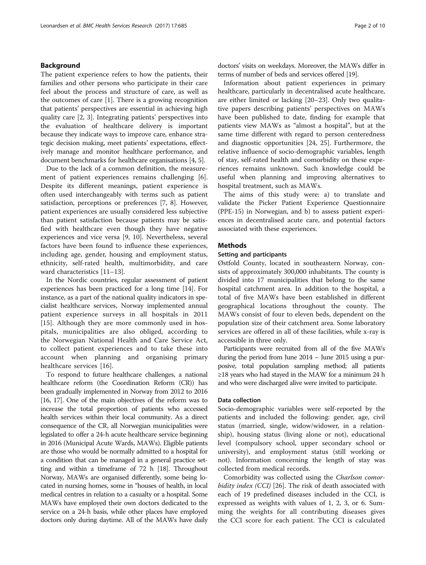## <span id="page-1-0"></span>Background

The patient experience refers to how the patients, their families and other persons who participate in their care feel about the process and structure of care, as well as the outcomes of care [[1\]](#page-8-0). There is a growing recognition that patients' perspectives are essential in achieving high quality care [\[2](#page-8-0), [3\]](#page-8-0). Integrating patients' perspectives into the evaluation of healthcare delivery is important because they indicate ways to improve care, enhance strategic decision making, meet patients' expectations, effectively manage and monitor healthcare performance, and document benchmarks for healthcare organisations [[4](#page-8-0), [5](#page-8-0)].

Due to the lack of a common definition, the measurement of patient experiences remains challenging [\[6](#page-8-0)]. Despite its different meanings, patient experience is often used interchangeably with terms such as patient satisfaction, perceptions or preferences [[7, 8\]](#page-8-0). However, patient experiences are usually considered less subjective than patient satisfaction because patients may be satisfied with healthcare even though they have negative experiences and vice versa [[9](#page-8-0), [10](#page-8-0)]. Nevertheless, several factors have been found to influence these experiences, including age, gender, housing and employment status, ethnicity, self-rated health, multimorbidity, and care ward characteristics [[11](#page-8-0)–[13\]](#page-8-0).

In the Nordic countries, regular assessment of patient experiences has been practiced for a long time [\[14\]](#page-8-0). For instance, as a part of the national quality indicators in specialist healthcare services, Norway implemented annual patient experience surveys in all hospitals in 2011 [[15\]](#page-8-0). Although they are more commonly used in hospitals, municipalities are also obliged, according to the Norwegian National Health and Care Service Act, to collect patient experiences and to take these into account when planning and organising primary healthcare services [\[16](#page-8-0)].

To respond to future healthcare challenges, a national healthcare reform (the Coordination Reform (CR)) has been gradually implemented in Norway from 2012 to 2016 [[16](#page-8-0), [17](#page-8-0)]. One of the main objectives of the reform was to increase the total proportion of patients who accessed health services within their local community. As a direct consequence of the CR, all Norwegian municipalities were legislated to offer a 24-h acute healthcare service beginning in 2016 (Municipal Acute Wards, MAWs). Eligible patients are those who would be normally admitted to a hospital for a condition that can be managed in a general practice setting and within a timeframe of 72 h [\[18](#page-8-0)]. Throughout Norway, MAWs are organised differently, some being located in nursing homes, some in "houses of health, in local medical centres in relation to a casualty or a hospital. Some MAWs have employed their own doctors dedicated to the service on a 24-h basis, while other places have employed doctors only during daytime. All of the MAWs have daily doctors' visits on weekdays. Moreover, the MAWs differ in terms of number of beds and services offered [\[19\]](#page-8-0).

Information about patient experiences in primary healthcare, particularly in decentralised acute healthcare, are either limited or lacking [[20](#page-8-0)–[23](#page-8-0)]. Only two qualitative papers describing patients' perspectives on MAWs have been published to date, finding for example that patients view MAWs as "almost a hospital", but at the same time different with regard to person centeredness and diagnostic opportunities [[24](#page-8-0), [25\]](#page-8-0). Furthermore, the relative influence of socio-demographic variables, length of stay, self-rated health and comorbidity on these experiences remains unknown. Such knowledge could be useful when planning and improving alternatives to hospital treatment, such as MAWs.

The aims of this study were: a) to translate and validate the Picker Patient Experience Questionnaire (PPE-15) in Norwegian, and b) to assess patient experiences in decentralised acute care, and potential factors associated with these experiences.

## **Methods**

## Setting and participants

Østfold County, located in southeastern Norway, consists of approximately 300,000 inhabitants. The county is divided into 17 municipalities that belong to the same hospital catchment area. In addition to the hospital, a total of five MAWs have been established in different geographical locations throughout the county. The MAWs consist of four to eleven beds, dependent on the population size of their catchment area. Some laboratory services are offered in all of these facilities, while x-ray is accessible in three only.

Participants were recruited from all of the five MAWs during the period from June 2014 – June 2015 using a purposive, total population sampling method; all patients ≥18 years who had stayed in the MAW for a minimum 24 h and who were discharged alive were invited to participate.

## Data collection

Socio-demographic variables were self-reported by the patients and included the following: gender, age, civil status (married, single, widow/widower, in a relationship), housing status (living alone or not), educational level (compulsory school, upper secondary school or university), and employment status (still working or not). Information concerning the length of stay was collected from medical records.

Comorbidity was collected using the Charlson comor-bidity index (CCI) [[26\]](#page-8-0). The risk of death associated with each of 19 predefined diseases included in the CCI, is expressed as weights with values of 1, 2, 3, or 6. Summing the weights for all contributing diseases gives the CCI score for each patient. The CCI is calculated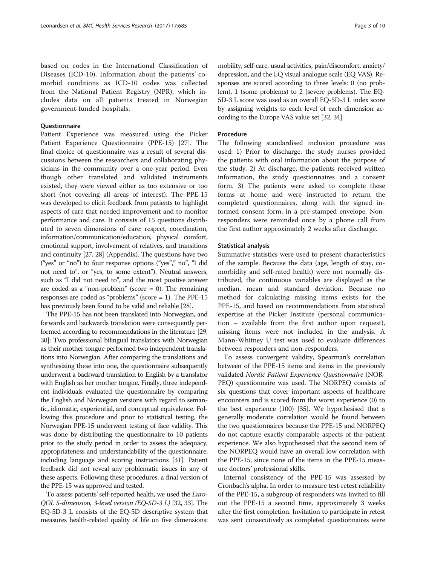based on codes in the International Classification of Diseases (ICD-10). Information about the patients' comorbid conditions as ICD-10 codes was collected from the National Patient Registry (NPR), which includes data on all patients treated in Norwegian government-funded hospitals.

## **Questionnaire**

Patient Experience was measured using the Picker Patient Experience Questionnaire (PPE-15) [[27\]](#page-8-0). The final choice of questionnaire was a result of several discussions between the researchers and collaborating physicians in the community over a one-year period. Even though other translated and validated instruments existed, they were viewed either as too extensive or too short (not covering all areas of interest). The PPE-15 was developed to elicit feedback from patients to highlight aspects of care that needed improvement and to monitor performance and care. It consists of 15 questions distributed to seven dimensions of care: respect, coordination, information/communication/education, physical comfort, emotional support, involvement of relatives, and transitions and continuity [\[27, 28\]](#page-8-0) [\(Appendix\)](#page-7-0). The questions have two ("yes" or "no") to four response options ("yes"," no", "I did not need to", or "yes, to some extent"). Neutral answers, such as "I did not need to", and the most positive answer are coded as a "non-problem" (score  $= 0$ ). The remaining responses are coded as "problems" (score = 1). The PPE-15 has previously been found to be valid and reliable [[28](#page-8-0)].

The PPE-15 has not been translated into Norwegian, and forwards and backwards translation were consequently performed according to recommendations in the literature [\[29](#page-8-0), [30](#page-8-0)]: Two professional bilingual translators with Norwegian as their mother tongue performed two independent translations into Norwegian. After comparing the translations and synthesizing these into one, the questionnaire subsequently underwent a backward translation to English by a translator with English as her mother tongue. Finally, three independent individuals evaluated the questionnaire by comparing the English and Norwegian versions with regard to semantic, idiomatic, experiential, and conceptual equivalence. Following this procedure and prior to statistical testing, the Norwegian PPE-15 underwent testing of face validity. This was done by distributing the questionnaire to 10 patients prior to the study period in order to assess the adequacy, appropriateness and understandability of the questionnaire, including language and scoring instructions [[31](#page-8-0)]. Patient feedback did not reveal any problematic issues in any of these aspects. Following these procedures, a final version of the PPE-15 was approved and tested.

To assess patients' self-reported health, we used the *Euro*-QOL 5-dimension, 3-level version (EQ-5D-3 L) [\[32,](#page-8-0) [33](#page-9-0)]. The EQ-5D-3 L consists of the EQ-5D descriptive system that measures health-related quality of life on five dimensions: mobility, self-care, usual activities, pain/discomfort, anxiety/ depression, and the EQ visual analogue scale (EQ VAS). Responses are scored according to three levels: 0 (no problem), 1 (some problems) to 2 (severe problems). The EQ-5D-3 L score was used as an overall EQ-5D-3 L index score by assigning weights to each level of each dimension according to the Europe VAS value set [\[32,](#page-8-0) [34\]](#page-9-0).

## Procedure

The following standardised inclusion procedure was used: 1) Prior to discharge, the study nurses provided the patients with oral information about the purpose of the study. 2) At discharge, the patients received written information, the study questionnaires and a consent form. 3) The patients were asked to complete these forms at home and were instructed to return the completed questionnaires, along with the signed informed consent form, in a pre-stamped envelope. Nonresponders were reminded once by a phone call from the first author approximately 2 weeks after discharge.

## Statistical analysis

Summative statistics were used to present characteristics of the sample. Because the data (age, length of stay, comorbidity and self-rated health) were not normally distributed, the continuous variables are displayed as the median, mean and standard deviation. Because no method for calculating missing items exists for the PPE-15, and based on recommendations from statistical expertise at the Picker Institute (personal communication – available from the first author upon request), missing items were not included in the analysis. A Mann-Whitney U test was used to evaluate differences between responders and non-responders.

To assess convergent validity, Spearman's correlation between of the PPE-15 items and items in the previously validated Nordic Patient Experience Questionnaire (NOR-PEQ) questionnaire was used. The NORPEQ consists of six questions that cover important aspects of healthcare encounters and is scored from the worst experience (0) to the best experience (100) [[35\]](#page-9-0). We hypothesised that a generally moderate correlation would be found between the two questionnaires because the PPE-15 and NORPEQ do not capture exactly comparable aspects of the patient experience. We also hypothesised that the second item of the NORPEQ would have an overall low correlation with the PPE-15, since none of the items in the PPE-15 measure doctors' professional skills.

Internal consistency of the PPE-15 was assessed by Cronbach's alpha. In order to measure test-retest reliability of the PPE-15, a subgroup of responders was invited to fill out the PPE-15 a second time, approximately 3 weeks after the first completion. Invitation to participate in retest was sent consecutively as completed questionnaires were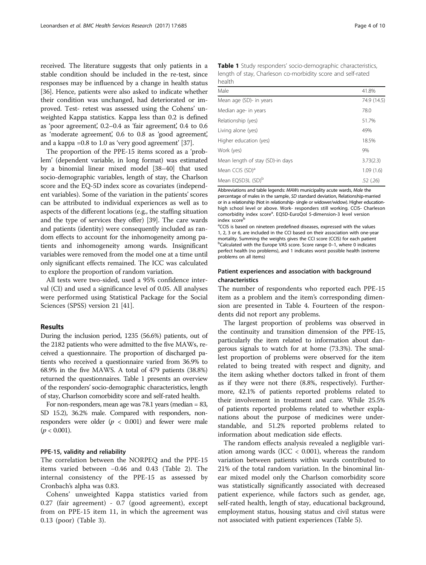received. The literature suggests that only patients in a stable condition should be included in the re-test, since responses may be influenced by a change in health status [[36](#page-9-0)]. Hence, patients were also asked to indicate whether their condition was unchanged, had deteriorated or improved. Test- retest was assessed using the Cohens' unweighted Kappa statistics. Kappa less than 0.2 is defined as 'poor agreement', 0.2–0.4 as 'fair agreement', 0.4 to 0.6 as 'moderate agreement', 0.6 to 0.8 as 'good agreement', and a kappa =0.8 to 1.0 as 'very good agreement' [\[37\]](#page-9-0).

The proportion of the PPE-15 items scored as a 'problem' (dependent variable, in long format) was estimated by a binomial linear mixed model [\[38](#page-9-0)–[40](#page-9-0)] that used socio-demographic variables, length of stay, the Charlson score and the EQ-5D index score as covariates (independent variables). Some of the variation in the patients' scores can be attributed to individual experiences as well as to aspects of the different locations (e.g., the staffing situation and the type of services they offer) [\[39\]](#page-9-0). The care wards and patients (identity) were consequently included as random effects to account for the inhomogeneity among patients and inhomogeneity among wards. Insignificant variables were removed from the model one at a time until only significant effects remained. The ICC was calculated to explore the proportion of random variation.

All tests were two-sided, used a 95% confidence interval (CI) and used a significance level of 0.05. All analyses were performed using Statistical Package for the Social Sciences (SPSS) version 21 [\[41](#page-9-0)].

## Results

During the inclusion period, 1235 (56.6%) patients, out of the 2182 patients who were admitted to the five MAWs, received a questionnaire. The proportion of discharged patients who received a questionnaire varied from 36.9% to 68.9% in the five MAWS. A total of 479 patients (38.8%) returned the questionnaires. Table 1 presents an overview of the responders' socio-demographic characteristics, length of stay, Charlson comorbidity score and self-rated health.

For non-responders, mean age was 78.1 years (median = 83, SD 15.2), 36.2% male. Compared with responders, nonresponders were older  $(p < 0.001)$  and fewer were male  $(p < 0.001)$ .

## PPE-15, validity and reliability

The correlation between the NORPEQ and the PPE-15 items varied between −0.46 and 0.43 (Table [2](#page-4-0)). The internal consistency of the PPE-15 as assessed by Cronbach's alpha was 0.83.

Cohens' unweighted Kappa statistics varied from 0.27 (fair agreement) - 0.7 (good agreement), except from on PPE-15 item 11, in which the agreement was 0.13 (poor) (Table [3\)](#page-4-0).

|        |  | Table 1 Study responders' socio-demographic characteristics, |  |
|--------|--|--------------------------------------------------------------|--|
|        |  | length of stay, Charleson co-morbidity score and self-rated  |  |
| health |  |                                                              |  |

| Male                             | 41.8%       |
|----------------------------------|-------------|
| Mean age (SD)- in years          | 74.9 (14.5) |
| Median age- in years             | 78.0        |
| Relationship (yes)               | 51.7%       |
| Living alone (yes)               | 49%         |
| Higher education (yes)           | 18.5%       |
| Work (yes)                       | 9%          |
| Mean length of stay (SD)-in days | 3.73(2.3)   |
| Mean CCIS (SD) <sup>a</sup>      | 1.09(1.6)   |
| Mean EQ5D3L (SD) <sup>b</sup>    | .52(.26)    |

Abbreviations and table legends: MAWs municipality acute wards, Male the percentage of males in the sample, SD standard deviation, Relationship-married or in a relationship (Not in relationship- single or widower/widow). Higher educationhigh school level or above. Work- responders still working. CCIS- Charleson comorbidity index score<sup>a</sup>. EQ5D-EuroQol 5-dimension-3 level version index score

<sup>a</sup>CCIS is based on nineteen predefined diseases, expressed with the values 1, 2, 3 or 6, are included in the CCI based on their association with one-year mortality. Summing the weights gives the CCI score (CCIS) for each patient b Calculated with the Europe VAS score. Score range 0–1, where 0 indicates perfect health (no problems), and 1 indicates worst possible health (extreme problems on all items)

## Patient experiences and association with background characteristics

The number of respondents who reported each PPE-15 item as a problem and the item's corresponding dimension are presented in Table [4](#page-5-0). Fourteen of the respondents did not report any problems.

The largest proportion of problems was observed in the continuity and transition dimension of the PPE-15, particularly the item related to information about dangerous signals to watch for at home (73.3%). The smallest proportion of problems were observed for the item related to being treated with respect and dignity, and the item asking whether doctors talked in front of them as if they were not there (8.8%, respectively). Furthermore, 42.1% of patients reported problems related to their involvement in treatment and care. While 25.5% of patients reported problems related to whether explanations about the purpose of medicines were understandable, and 51.2% reported problems related to information about medication side effects.

The random effects analysis revealed a negligible variation among wards (ICC  $<$  0.001), whereas the random variation between patients within wards contributed to 21% of the total random variation. In the binominal linear mixed model only the Charlson comorbidity score was statistically significantly associated with decreased patient experience, while factors such as gender, age, self-rated health, length of stay, educational background, employment status, housing status and civil status were not associated with patient experiences (Table [5](#page-5-0)).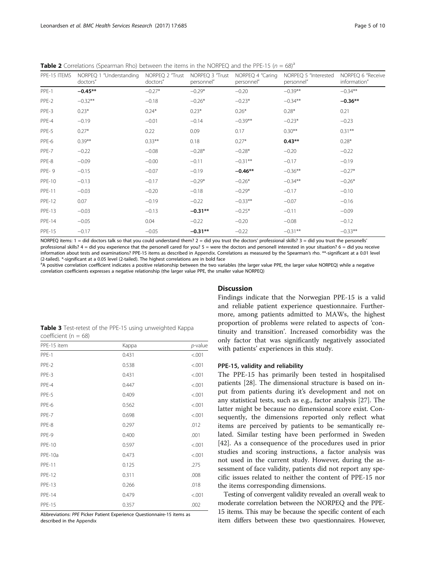<span id="page-4-0"></span>

| <b>Table 2</b> Correlations (Spearman Rho) between the items in the NORPEQ and the PPE-15 ( $n = 68$ ) <sup>a</sup> |  |  |  |  |  |  |  |  |  |  |  |  |  |  |  |
|---------------------------------------------------------------------------------------------------------------------|--|--|--|--|--|--|--|--|--|--|--|--|--|--|--|
|---------------------------------------------------------------------------------------------------------------------|--|--|--|--|--|--|--|--|--|--|--|--|--|--|--|

| PPE-15 ITEMS  | NORPEQ 1 "Understanding<br>doctors" | NORPEQ 2 "Trust<br>doctors" | NORPEQ 3 "Trust<br>personnel" | NORPEQ 4 "Caring<br>personnel" | NORPEQ 5 "Interested<br>personnel" | NORPEQ 6 "Receive<br>information" |
|---------------|-------------------------------------|-----------------------------|-------------------------------|--------------------------------|------------------------------------|-----------------------------------|
| PPE-1         | $-0.45**$                           | $-0.27*$                    | $-0.29*$                      | $-0.20$                        | $-0.39**$                          | $-0.34**$                         |
| PPE-2         | $-0.32**$                           | $-0.18$                     | $-0.26*$                      | $-0.23*$                       | $-0.34**$                          | $-0.36**$                         |
| PPE-3         | $0.23*$                             | $0.24*$                     | $0.23*$                       | $0.26*$                        | $0.28*$                            | 0.21                              |
| PPE-4         | $-0.19$                             | $-0.01$                     | $-0.14$                       | $-0.39**$                      | $-0.23*$                           | $-0.23$                           |
| PPE-5         | $0.27*$                             | 0.22                        | 0.09                          | 0.17                           | $0.30**$                           | $0.31***$                         |
| PPE-6         | $0.39***$                           | $0.33***$                   | 0.18                          | $0.27*$                        | $0.43**$                           | $0.28*$                           |
| PPE-7         | $-0.22$                             | $-0.08$                     | $-0.28*$                      | $-0.28*$                       | $-0.20$                            | $-0.22$                           |
| PPE-8         | $-0.09$                             | $-0.00$                     | $-0.11$                       | $-0.31***$                     | $-0.17$                            | $-0.19$                           |
| PPE-9         | $-0.15$                             | $-0.07$                     | $-0.19$                       | $-0.46**$                      | $-0.36***$                         | $-0.27*$                          |
| <b>PPE-10</b> | $-0.13$                             | $-0.17$                     | $-0.29*$                      | $-0.26*$                       | $-0.34***$                         | $-0.26*$                          |
| <b>PPE-11</b> | $-0.03$                             | $-0.20$                     | $-0.18$                       | $-0.29*$                       | $-0.17$                            | $-0.10$                           |
| <b>PPE-12</b> | 0.07                                | $-0.19$                     | $-0.22$                       | $-0.33**$                      | $-0.07$                            | $-0.16$                           |
| <b>PPE-13</b> | $-0.03$                             | $-0.13$                     | $-0.31**$                     | $-0.25*$                       | $-0.11$                            | $-0.09$                           |
| <b>PPE-14</b> | $-0.05$                             | 0.04                        | $-0.22$                       | $-0.20$                        | $-0.08$                            | $-0.12$                           |
| <b>PPE-15</b> | $-0.17$                             | $-0.05$                     | $-0.31**$                     | $-0.22$                        | $-0.31***$                         | $-0.33**$                         |

NORPEQ items: 1 = did doctors talk so that you could understand them? 2 = did you trust the doctors' professional skills? 3 = did you trust the personells' professional skills?  $4 =$  did you experience that the personell cared for you?  $5 =$  were the doctors and personell interested in your situation?  $6 =$  did you receive information about tests and examinations? PPE-15 items as described in [Appendix](#page-7-0). Correlations as measured by the Spearman's rho. \*\*-significant at a 0.01 level (2-tailed). \*-significant at a 0.05 level (2-tailed). The highest correlations are in bold face

<sup>a</sup>A positive correlation coefficient indicates a positive relationship between the two variables (the larger value PPE, the larger value NORPEQ) while a negative correlation coefficients expresses a negative relationship (the larger value PPE, the smaller value NORPEQ)

|                          | <b>Table 3</b> Test-retest of the PPE-15 using unweighted Kappa |  |  |
|--------------------------|-----------------------------------------------------------------|--|--|
| coefficient ( $n = 68$ ) |                                                                 |  |  |

| PPE-15 item   | Kappa | p-value |
|---------------|-------|---------|
| PPE-1         | 0.431 | < .001  |
| PPE-2         | 0.538 | < .001  |
| PPE-3         | 0.431 | < .001  |
| PPE-4         | 0.447 | < .001  |
| PPE-5         | 0.409 | < .001  |
| PPE-6         | 0.562 | < .001  |
| PPE-7         | 0.698 | < .001  |
| PPE-8         | 0.297 | .012    |
| PPE-9         | 0.400 | .001    |
| <b>PPE-10</b> | 0.597 | < .001  |
| PPE-10a       | 0.473 | < .001  |
| <b>PPE-11</b> | 0.125 | .275    |
| <b>PPE-12</b> | 0.311 | .008    |
| <b>PPE-13</b> | 0.266 | .018    |
| <b>PPE-14</b> | 0.479 | < .001  |
| <b>PPE-15</b> | 0.357 | .002    |
|               |       |         |

Abbreviations: PPE Picker Patient Experience Questionnaire-15 items as described in the [Appendix](#page-7-0)

## **Discussion**

Findings indicate that the Norwegian PPE-15 is a valid and reliable patient experience questionnaire. Furthermore, among patients admitted to MAWs, the highest proportion of problems were related to aspects of 'continuity and transition'. Increased comorbidity was the only factor that was significantly negatively associated with patients' experiences in this study.

## PPE-15, validity and reliability

The PPE-15 has primarily been tested in hospitalised patients [[28\]](#page-8-0). The dimensional structure is based on input from patients during it's development and not on any statistical tests, such as e.g., factor analysis [\[27\]](#page-8-0). The latter might be because no dimensional score exist. Consequently, the dimensions reported only reflect what items are perceived by patients to be semantically related. Similar testing have been performed in Sweden [[42\]](#page-9-0). As a consequence of the procedures used in prior studies and scoring instructions, a factor analysis was not used in the current study. However, during the assessment of face validity, patients did not report any specific issues related to neither the content of PPE-15 nor the items corresponding dimensions.

Testing of convergent validity revealed an overall weak to moderate correlation between the NORPEQ and the PPE-15 items. This may be because the specific content of each item differs between these two questionnaires. However,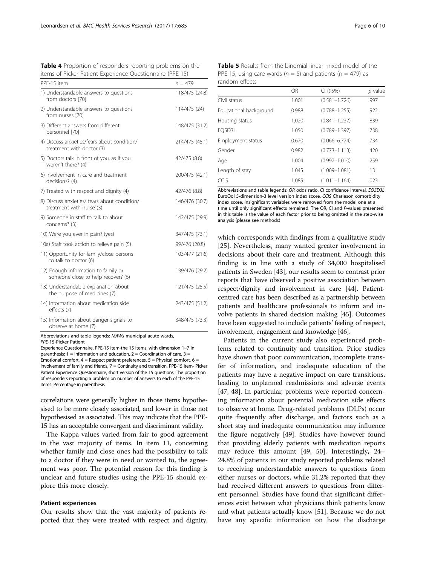<span id="page-5-0"></span>

| PPF-15 item                                                               | $n = 479$      |
|---------------------------------------------------------------------------|----------------|
| 1) Understandable answers to questions<br>from doctors [70]               | 118/475 (24.8) |
| 2) Understandable answers to questions<br>from nurses [70]                | 114/475 (24)   |
| 3) Different answers from different<br>personnel [70]                     | 148/475 (31.2) |
| 4) Discuss anxieties/fears about condition/<br>treatment with doctor (3)  | 214/475 (45.1) |
| 5) Doctors talk in front of you, as if you<br>weren't there? (4)          | 42/475 (8.8)   |
| 6) Involvement in care and treatment<br>decisions? (4)                    | 200/475 (42.1) |
| 7) Treated with respect and dignity (4)                                   | 42/476 (8.8)   |
| 8) Discuss anxieties/ fears about condition/<br>treatment with nurse (3)  | 146/476 (30.7) |
| 9) Someone in staff to talk to about<br>concerns? (3)                     | 142/475 (29.9) |
| 10) Were you ever in pain? (yes)                                          | 347/475 (73.1) |
| 10a) Staff took action to relieve pain (5)                                | 99/476 (20.8)  |
| 11) Opportunity for family/close persons<br>to talk to doctor (6)         | 103/477 (21.6) |
| 12) Enough information to family or<br>someone close to help recover? (6) | 139/476 (29.2) |
| 13) Understandable explanation about<br>the purpose of medicines (7)      | 121/475 (25.5) |
| 14) Information about medication side<br>effects (7)                      | 243/475 (51.2) |
| 15) Information about danger signals to<br>observe at home (7)            | 348/475 (73.3) |

Abbreviations and table legends: MAWs municipal acute wards,

PPE-15-Picker Patient

Experience Questionnaire. PPE-15 item-the 15 items, with dimension 1–7 in parenthesis;  $1 =$  Information and education,  $2 =$  Coordination of care,  $3 =$ Emotional comfort,  $4$  = Respect patient preferences,  $5$  = Physical comfort,  $6$  = Involvement of family and friends, 7 = Continuity and transition. PPE-15 item- Picker Patient Experience Questionnaire, short version of the 15 questions. The proportion of responders reporting a problem on number of answers to each of the PPE-15 items. Percentage in parenthesis

correlations were generally higher in those items hypothesised to be more closely associated, and lower in those not hypothesised as associated. This may indicate that the PPE-15 has an acceptable convergent and discriminant validity.

The Kappa values varied from fair to good agreement in the vast majority of items. In item 11, concerning whether family and close ones had the possibility to talk to a doctor if they were in need or wanted to, the agreement was poor. The potential reason for this finding is unclear and future studies using the PPE-15 should explore this more closely.

### Patient experiences

Our results show that the vast majority of patients reported that they were treated with respect and dignity,

Table 5 Results from the binomial linear mixed model of the PPE-15, using care wards ( $n = 5$ ) and patients ( $n = 479$ ) as random effects

|                        | OR    | CI (95%)          | $p$ -value |
|------------------------|-------|-------------------|------------|
| Civil status           | 1.001 | $(0.581 - 1.726)$ | .997       |
| Educational background | 0.988 | $(0.788 - 1.255)$ | .922       |
| Housing status         | 1.020 | $(0.841 - 1.237)$ | .839       |
| EO5D3L                 | 1.050 | $(0.789 - 1.397)$ | .738       |
| Employment status      | 0.670 | $(0.066 - 6.774)$ | .734       |
| Gender                 | 0.982 | $(0.773 - 1.113)$ | .420       |
| Age                    | 1.004 | $(0.997 - 1.010)$ | .259       |
| Length of stay         | 1.045 | $(1.009 - 1.081)$ | .13        |
| CCIS                   | 1.085 | $(1.011 - 1.164)$ | .023       |

Abbreviations and table legends: OR odds ratio, CI confidence interval, EQ5D3L EuroQol 5-dimension-3 level version index score, CCIS Charleson comorbidity index score. Insignificant variables were removed from the model one at a time until only significant effects remained. The OR, CI and P-values presented in this table is the value of each factor prior to being omitted in the step-wise analysis (please see [methods](#page-1-0))

which corresponds with findings from a qualitative study [[25\]](#page-8-0). Nevertheless, many wanted greater involvement in decisions about their care and treatment. Although this finding is in line with a study of 34,000 hospitalised patients in Sweden [\[43\]](#page-9-0), our results seem to contrast prior reports that have observed a positive association between respect/dignity and involvement in care [\[44\]](#page-9-0). Patientcentred care has been described as a partnership between patients and healthcare professionals to inform and involve patients in shared decision making [[45](#page-9-0)]. Outcomes have been suggested to include patients' feeling of respect, involvement, engagement and knowledge [[46](#page-9-0)].

Patients in the current study also experienced problems related to continuity and transition. Prior studies have shown that poor communication, incomplete transfer of information, and inadequate education of the patients may have a negative impact on care transitions, leading to unplanned readmissions and adverse events [[47, 48](#page-9-0)]. In particular, problems were reported concerning information about potential medication side effects to observe at home. Drug-related problems (DLPs) occur quite frequently after discharge, and factors such as a short stay and inadequate communication may influence the figure negatively [[49](#page-9-0)]. Studies have however found that providing elderly patients with medication reports may reduce this amount [[49, 50\]](#page-9-0). Interestingly, 24– 24.8% of patients in our study reported problems related to receiving understandable answers to questions from either nurses or doctors, while 31.2% reported that they had received different answers to questions from different personnel. Studies have found that significant differences exist between what physicians think patients know and what patients actually know [\[51](#page-9-0)]. Because we do not have any specific information on how the discharge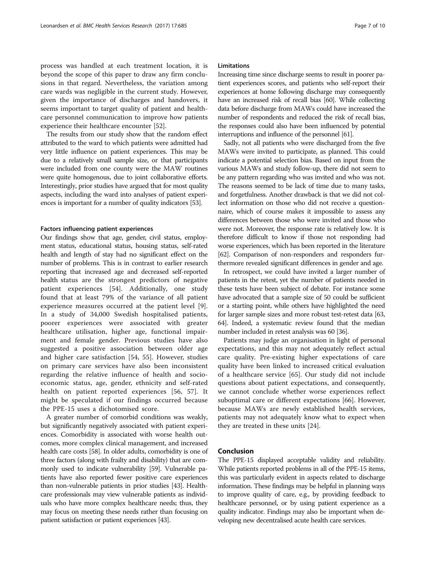process was handled at each treatment location, it is beyond the scope of this paper to draw any firm conclusions in that regard. Nevertheless, the variation among care wards was negligible in the current study. However, given the importance of discharges and handovers, it seems important to target quality of patient and healthcare personnel communication to improve how patients experience their healthcare encounter [[52\]](#page-9-0).

The results from our study show that the random effect attributed to the ward to which patients were admitted had very little influence on patient experiences. This may be due to a relatively small sample size, or that participants were included from one county were the MAW routines were quite homogenous, due to joint collaborative efforts. Interestingly, prior studies have argued that for most quality aspects, including the ward into analyses of patient experiences is important for a number of quality indicators [[53](#page-9-0)].

## Factors influencing patient experiences

Our findings show that age, gender, civil status, employment status, educational status, housing status, self-rated health and length of stay had no significant effect on the number of problems. This is in contrast to earlier research reporting that increased age and decreased self-reported health status are the strongest predictors of negative patient experiences [[54](#page-9-0)]. Additionally, one study found that at least 79% of the variance of all patient experience measures occurred at the patient level [\[9](#page-8-0)]. In a study of 34,000 Swedish hospitalised patients, poorer experiences were associated with greater healthcare utilisation, higher age, functional impairment and female gender. Previous studies have also suggested a positive association between older age and higher care satisfaction [[54, 55](#page-9-0)]. However, studies on primary care services have also been inconsistent regarding the relative influence of health and socioeconomic status, age, gender, ethnicity and self-rated health on patient reported experiences [[56, 57\]](#page-9-0). It might be speculated if our findings occurred because the PPE-15 uses a dichotomised score.

A greater number of comorbid conditions was weakly, but significantly negatively associated with patient experiences. Comorbidity is associated with worse health outcomes, more complex clinical management, and increased health care costs [[58\]](#page-9-0). In older adults, comorbidity is one of three factors (along with frailty and disability) that are commonly used to indicate vulnerability [[59](#page-9-0)]. Vulnerable patients have also reported fewer positive care experiences than non-vulnerable patients in prior studies [[43](#page-9-0)]. Healthcare professionals may view vulnerable patients as individuals who have more complex healthcare needs; thus, they may focus on meeting these needs rather than focusing on patient satisfaction or patient experiences [\[43\]](#page-9-0).

### Limitations

Increasing time since discharge seems to result in poorer patient experiences scores, and patients who self-report their experiences at home following discharge may consequently have an increased risk of recall bias [[60\]](#page-9-0). While collecting data before discharge from MAWs could have increased the number of respondents and reduced the risk of recall bias, the responses could also have been influenced by potential interruptions and influence of the personnel [\[61\]](#page-9-0).

Sadly, not all patients who were discharged from the five MAWs were invited to participate, as planned. This could indicate a potential selection bias. Based on input from the various MAWs and study follow-up, there did not seem to be any pattern regarding who was invited and who was not. The reasons seemed to be lack of time due to many tasks, and forgetfulness. Another drawback is that we did not collect information on those who did not receive a questionnaire, which of course makes it impossible to assess any differences between those who were invited and those who were not. Moreover, the response rate is relatively low. It is therefore difficult to know if those not responding had worse experiences, which has been reported in the literature [[62](#page-9-0)]. Comparison of non-responders and responders furthermore revealed significant differences in gender and age.

In retrospect, we could have invited a larger number of patients in the retest, yet the number of patients needed in these tests have been subject of debate. For instance some have advocated that a sample size of 50 could be sufficient or a starting point, while others have highlighted the need for larger sample sizes and more robust test-retest data [\[63](#page-9-0), [64](#page-9-0)]. Indeed, a systematic review found that the median number included in retest analysis was 60 [[36\]](#page-9-0).

Patients may judge an organisation in light of personal expectations, and this may not adequately reflect actual care quality. Pre-existing higher expectations of care quality have been linked to increased critical evaluation of a healthcare service [\[65](#page-9-0)]. Our study did not include questions about patient expectations, and consequently, we cannot conclude whether worse experiences reflect suboptimal care or different expectations [[66\]](#page-9-0). However, because MAWs are newly established health services, patients may not adequately know what to expect when they are treated in these units [\[24\]](#page-8-0).

## Conclusion

The PPE-15 displayed acceptable validity and reliability. While patients reported problems in all of the PPE-15 items, this was particularly evident in aspects related to discharge information. These findings may be helpful in planning ways to improve quality of care, e.g., by providing feedback to healthcare personnel, or by using patient experience as a quality indicator. Findings may also be important when developing new decentralised acute health care services.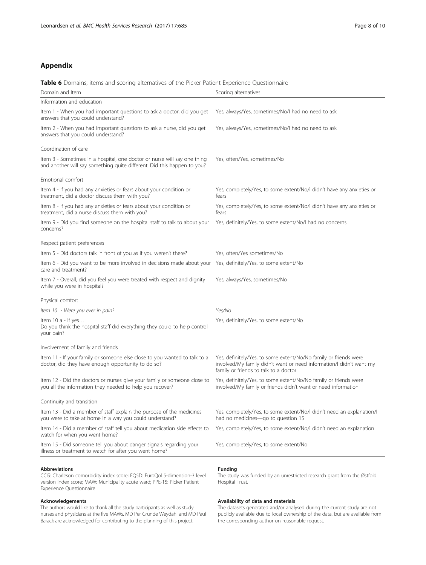## <span id="page-7-0"></span>Appendix

## Table 6 Domains, items and scoring alternatives of the Picker Patient Experience Questionnaire

| Domain and Item                                                                                                                                     | Scoring alternatives                                                                                                                                                             |
|-----------------------------------------------------------------------------------------------------------------------------------------------------|----------------------------------------------------------------------------------------------------------------------------------------------------------------------------------|
| Information and education                                                                                                                           |                                                                                                                                                                                  |
| Item 1 - When you had important questions to ask a doctor, did you get<br>answers that you could understand?                                        | Yes, always/Yes, sometimes/No/I had no need to ask                                                                                                                               |
| Item 2 - When you had important questions to ask a nurse, did you get<br>answers that you could understand?                                         | Yes, always/Yes, sometimes/No/I had no need to ask                                                                                                                               |
| Coordination of care                                                                                                                                |                                                                                                                                                                                  |
| Item 3 - Sometimes in a hospital, one doctor or nurse will say one thing<br>and another will say something quite different. Did this happen to you? | Yes, often/Yes, sometimes/No                                                                                                                                                     |
| Emotional comfort                                                                                                                                   |                                                                                                                                                                                  |
| Item 4 - If you had any anxieties or fears about your condition or<br>treatment, did a doctor discuss them with you?                                | Yes, completely/Yes, to some extent/No/I didn't have any anxieties or<br>fears                                                                                                   |
| Item 8 - If you had any anxieties or fears about your condition or<br>treatment, did a nurse discuss them with you?                                 | Yes, completely/Yes, to some extent/No/I didn't have any anxieties or<br>fears                                                                                                   |
| Item 9 - Did you find someone on the hospital staff to talk to about your<br>concerns?                                                              | Yes, definitely/Yes, to some extent/No/I had no concerns                                                                                                                         |
| Respect patient preferences                                                                                                                         |                                                                                                                                                                                  |
| Item 5 - Did doctors talk in front of you as if you weren't there?                                                                                  | Yes, often/Yes sometimes/No                                                                                                                                                      |
| Item 6 - Did you want to be more involved in decisions made about your Yes, definitely/Yes, to some extent/No<br>care and treatment?                |                                                                                                                                                                                  |
| Item 7 - Overall, did you feel you were treated with respect and dignity<br>while you were in hospital?                                             | Yes, always/Yes, sometimes/No                                                                                                                                                    |
| Physical comfort                                                                                                                                    |                                                                                                                                                                                  |
| Item 10 - Were you ever in pain?                                                                                                                    | Yes/No                                                                                                                                                                           |
| Item $10a - If yes$<br>Do you think the hospital staff did everything they could to help control<br>your pain?                                      | Yes, definitely/Yes, to some extent/No                                                                                                                                           |
| Involvement of family and friends                                                                                                                   |                                                                                                                                                                                  |
| Item 11 - If your family or someone else close to you wanted to talk to a<br>doctor, did they have enough opportunity to do so?                     | Yes, definitely/Yes, to some extent/No/No family or friends were<br>involved/My family didn't want or need information/I didn't want my<br>family or friends to talk to a doctor |
| Item 12 - Did the doctors or nurses give your family or someone close to<br>you all the information they needed to help you recover?                | Yes, definitely/Yes, to some extent/No/No family or friends were<br>involved/My family or friends didn't want or need information                                                |
| Continuity and transition                                                                                                                           |                                                                                                                                                                                  |
| Item 13 - Did a member of staff explain the purpose of the medicines<br>you were to take at home in a way you could understand?                     | Yes, completely/Yes, to some extent/No/I didn't need an explanation/I<br>had no medicines-go to question 15                                                                      |
| Item 14 - Did a member of staff tell you about medication side effects to<br>watch for when you went home?                                          | Yes, completely/Yes, to some extent/No/I didn't need an explanation                                                                                                              |
| Item 15 - Did someone tell you about danger signals regarding your<br>illness or treatment to watch for after you went home?                        | Yes, completely/Yes, to some extent/No                                                                                                                                           |
|                                                                                                                                                     |                                                                                                                                                                                  |

CCIS: Charleson comorbidity index score; EQ5D: EuroQol 5-dimension-3 level version index score; MAW: Municipality acute ward; PPE-15: Picker Patient Experience Questionnaire

## Acknowledgements

The authors would like to thank all the study participants as well as study nurses and physicians at the five MAWs. MD Per Grunde Weydahl and MD Paul Barack are acknowledged for contributing to the planning of this project.

#### Funding

The study was funded by an unrestricted research grant from the Østfold Hospital Trust.

## Availability of data and materials

The datasets generated and/or analysed during the current study are not publicly available due to local ownership of the data, but are available from the corresponding author on reasonable request.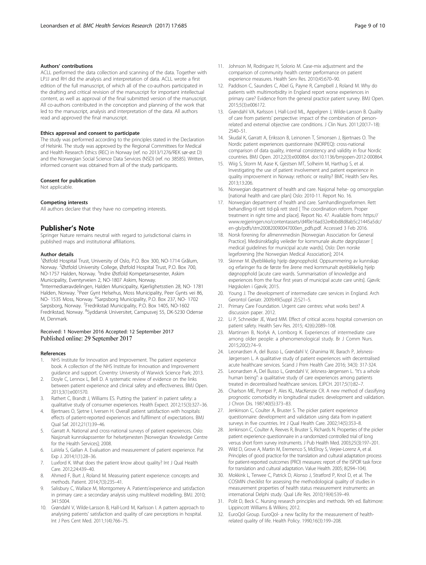## <span id="page-8-0"></span>Authors' contributions

ACLL performed the data collection and scanning of the data. Together with LPJJ and RH did the analysis and interpretation of data. ACLL wrote a first edition of the full manuscript, of which all of the co-authors participated in the drafting and critical revision of the manuscript for important intellectual content, as well as approval of the final submitted version of the manuscript. All co-authors contributed in the conception and planning of the work that led to the manuscript, analysis and interpretation of the data. All authors read and approved the final manuscript.

#### Ethics approval and consent to participate

The study was performed according to the principles stated in the Declaration of Helsinki. The study was approved by the Regional Committees for Medical and Health Research Ethics (REC) in Norway (ref. no 2013/1276/REK sør-øst D) and the Norwegian Social Science Data Services (NSD) (ref. no 38585). Written, informed consent was obtained from all of the study participants.

#### Consent for publication

Not applicable.

#### Competing interests

All authors declare that they have no competing interests.

#### Publisher's Note

Springer Nature remains neutral with regard to jurisdictional claims in published maps and institutional affiliations.

#### Author details

<sup>1</sup>Østfold Hospital Trust, University of Oslo, P.O. Box 300, NO-1714 Grålum, Norway. <sup>2</sup>Østfold University College, Østfold Hospital Trust, P.O. Box 700, NO-1757 Halden, Norway. <sup>3</sup>Indre Østfold Kompetansesenter, Askim Municipality, Eventyrveien 2, NO-1807 Askim, Norway. 4 Intermediæravdelingen, Halden Municipality, Kjærlighetsstien 28, NO- 1781 Halden, Norway. <sup>5</sup>Peer Gynt Helsehus, Moss Municipality, Peer Gynts vei 86, NO- 1535 Moss, Norway. <sup>6</sup>Sarpsborg Municipality, P.O. Box 237, NO- 1702 Sarpsborg, Norway. <sup>7</sup>Fredrikstad Municipality, P.O. Box 1405, NO-1602 Fredrikstad, Norway. <sup>8</sup>Syddansk Universitet, Campusvej 55, DK-5230 Odense M, Denmark.

## Received: 1 November 2016 Accepted: 12 September 2017 Published online: 29 September 2017

#### References

- 1. NHS Institute for Innovation and Improvement. The patient experience book. A collection of the NHS Institute for Innovation and Improvement guidance and support. Coventry: University of Warwick Science Park; 2013.
- 2. Doyle C, Lennox L, Bell D. A systematic review of evidence on the links between patient experience and clinical safety and effectiveness. BMJ Open. 2013;3(1):e001570.
- 3. Rathert C, Brandt J, Williams ES. Putting the 'patient' in patient safety: a qualitative study of consumer experiences. Health Expect. 2012;15(3):327–36.
- 4. Bjertnaes O, Sjetne I, Iversen H. Overall patient satisfaction with hospitals: effects of patient-reported experiences and fulfilment of expectations. BMJ Qual Saf. 2012;21(1):39–46.
- 5. Garratt A. National and cross-national surveys of patient experiences. Oslo: Nasjonalt kunnskapssenter for helsetjenesten [Norwegian Knowledge Centre for the Health Services]; 2008.
- 6. LaVela S, Gallan A. Evaluation and measurement of patient experience. Pat Exp J. 2014;1(1):28–36.
- Luxford K. What does the patient know about quality? Int J Qual Health Care. 2012;24:439–40.
- 8. Ahmed F, Burt J, Roland M. Measuring patient experience: concepts and methods. Patient. 2014;7(3):235–41.
- 9. Salisbury C, Wallace M, Montgomery A. Patients'experience and satisfaction in primary care: a secondary analysis using multilevel modelling. BMJ. 2010; 341:5004.
- 10. Grøndahl V, Wilde-Larsson B, Hall-Lord M, Karlsson I. A pattern approach to analysing patients' satisfaction and quality of care perceptions in hospital. Int J Pers Cent Med. 2011;1(4):766–75.
- 11. Johnson M, Rodriguez H, Solorio M. Case-mix adjustment and the comparison of community health center performance on patient experience measures. Health Serv Res. 2010;45:670–90.
- 12. Paddison C, Saunders C, Abel G, Payne R, Campbell J, Roland M. Why do patients with multimorbidity in England report worse experiences in primary care? Evidence from the general practice patient survey. BMJ Open. 2015;5(3):e006172.
- 13. Grøndahl VA, Karlsson I, Hall-Lord ML, Appelgren J, Wilde-Larsson B. Quality of care from patients' perspective: impact of the combination of personrelated and external objective care conditions. J Clin Nurs. 2011;20(17–18): 2540–51.
- 14. Skudal K, Garratt A, Eriksson B, Leinonen T, Simonsen J, Bjertnaes O. The Nordic patient experiences questionnaire (NORPEQ): cross-national comparison of data quality, internal consistency and validity in four Nordic countries. BMJ Open. 2012;2(3):e000864. doi:[10.1136/bmjopen-2012-000864](http://dx.doi.org/10.1136/bmjopen-2012-000864).
- 15. Wiig S, Storm M, Aase K, Gjestsen MT, Solheim M, Harthug S, et al. Investigating the use of patient involvement and patient experience in quality improvement in Norway: rethoric or reality? BMC Health Serv Res. 2013;13:206.
- 16. Norwegian department of health and care. Nasjonal helse- og omsorgsplan [national health and care plan] Oslo: 2010-11. Report No. 16.
- 17. Norwegian department of health and care. Samhandlingsreformen. Rett behandling-til rett tid-på rett sted [ The coordination reform. Proper treatment in right time and place]. Report No. 47. Available from: [https://](https://www.regjeringen.no/contentassets/d4f0e16ad32e4bbd8d8ab5c21445a5dc/en-gb/pdfs/stm200820090047000en_pdfs.pdf) [www.regjeringen.no/contentassets/d4f0e16ad32e4bbd8d8ab5c21445a5dc/](https://www.regjeringen.no/contentassets/d4f0e16ad32e4bbd8d8ab5c21445a5dc/en-gb/pdfs/stm200820090047000en_pdfs.pdf) [en-gb/pdfs/stm200820090047000en\\_pdfs.pdf](https://www.regjeringen.no/contentassets/d4f0e16ad32e4bbd8d8ab5c21445a5dc/en-gb/pdfs/stm200820090047000en_pdfs.pdf). Accessed 3 Feb 2016.
- 18. Norsk forening for allmennmedisin [Norwegian Association for General Practice]. Medisinskfaglig veileder for kommunale akutte døgnplasser [ medical guidelines for municipal acute wards]. Oslo: Den norske legeforening [the Norwegian Medical Association]; 2014.
- 19. Skinner M. Øyeblikkelig hjelp døgnopphold. Oppsummering av kunnskap og erfaringer fra de første fire årene med kommunalt øyeblikkelig hjelp døgnopphold [acute care wards. Summarisation of knowledge and experiences from the four first years of municipal acute care units]. Gjøvik: Høgskolen i Gjøvik; 2015.
- 20. Young J. The development of intermediate care services in England. Arch Gerontol Geriatr. 2009;49(Suppl 2):S21–5.
- 21. Primary Care Foundation. Urgent care centres: what works best? A discussion paper. 2012.
- 22. Li P, Schneider JE, Ward MM. Effect of critical access hospital conversion on patient safety. Health Serv Res. 2015; 42(6):2089–108.
- 23. Martinsen B, Norlyk A, Lomborg K. Experiences of intermediate care among older people: a phenomenological study. Br J Comm Nurs. 2015;20(2):74–9.
- 24. Leonardsen A, del Busso L, Grøndahl V, Ghanima W, Barach P, Jelsness-Jørgensen L. A qualitative study of patient experiences with decentralised acute healthcare services. Scand J Prim Health Care 2016; 34(3): 317-324.
- 25. Leonardsen A, Del Busso L, Grøndahl V, Jelsness-Jørgensen L. "It's a whole human being": a qualitative study of care experiences among patients treated in decentralised healthcare services. EJPCH. 2017;5(1):82–7.
- 26. Charlson ME, Pompei P, Ales KL, MacKenzie CR. A new method of classifying prognostic comorbidity in longitudinal studies: development and validation. J Chron Dis. 1987;40(5):373–83.
- 27. Jenkinson C, Coulter A, Bruster S. The picker patient experience questionnaire: development and validation using data from in-patient surveys in five countries. Int J Qual Health Care. 2002;14(5):353–8.
- 28. Jenkinson C, Coulter A, Reeves R, Bruster S, Richards N. Properties of the picker patient experience questionnaire in a randomized controlled trial of long versus short form survey instruments. J Pub Health Med. 2003;25(3):197–201.
- 29. Wild D, Grove A, Martin M, Eremenco S, McElroy S, Verjee-Lorenz A, et al. Principles of good practice for the translation and cultural adaptation process for patient-reported outcomes (PRO) measures: report of the ISPOR task force for translation and cultural adaptation. Value Health. 2005; 8(294–104).
- 30. Mokkink L, Terwee C, Patrick D, Alonso J, Stratford P, Knol D, et al. The COSMIN checklist for assessing the methodological quality of studies in measurement properties of health status measurement instruments: an international Delphi study. Qual Life Res. 2010;19(4):539–49.
- 31. Polit D, Beck C. Nursing research principles and methods. 9th ed. Baltimore: Lippincott Williams & Wilkins; 2012.
- 32. EuroQol Group. EuroQol- a new facility for the measurement of healthrelated quality of life. Health Policy. 1990;16(3):199–208.